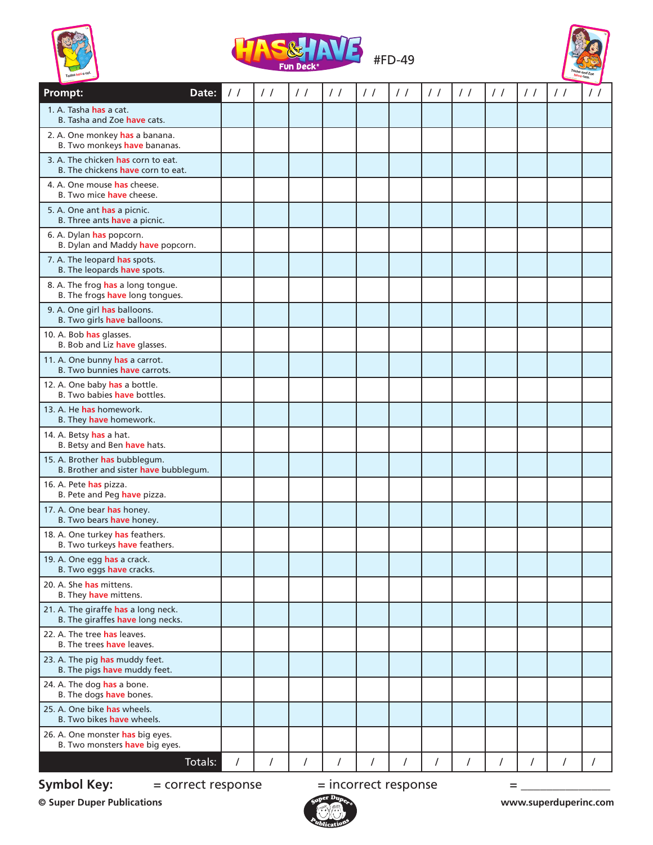





| <b>Prompt:</b><br>Date:                                                 | $\frac{1}{2}$ | $\frac{1}{2}$ | $\frac{1}{2}$  | $\frac{1}{2}$ | $\frac{1}{2}$ | $\frac{1}{2}$ | $\frac{1}{2}$ | $\frac{1}{2}$  | $\frac{1}{2}$ | $\frac{1}{2}$ | $\frac{1}{2}$ | $\prime$ / |
|-------------------------------------------------------------------------|---------------|---------------|----------------|---------------|---------------|---------------|---------------|----------------|---------------|---------------|---------------|------------|
| 1. A. Tasha has a cat.<br>B. Tasha and Zoe have cats.                   |               |               |                |               |               |               |               |                |               |               |               |            |
| 2. A. One monkey has a banana.<br>B. Two monkeys have bananas.          |               |               |                |               |               |               |               |                |               |               |               |            |
| 3. A. The chicken has corn to eat.<br>B. The chickens have corn to eat. |               |               |                |               |               |               |               |                |               |               |               |            |
| 4. A. One mouse has cheese.<br>B. Two mice <b>have</b> cheese.          |               |               |                |               |               |               |               |                |               |               |               |            |
| 5. A. One ant has a picnic.<br>B. Three ants have a picnic.             |               |               |                |               |               |               |               |                |               |               |               |            |
| 6. A. Dylan has popcorn.<br>B. Dylan and Maddy have popcorn.            |               |               |                |               |               |               |               |                |               |               |               |            |
| 7. A. The leopard has spots.<br>B. The leopards have spots.             |               |               |                |               |               |               |               |                |               |               |               |            |
| 8. A. The frog has a long tongue.<br>B. The frogs have long tongues.    |               |               |                |               |               |               |               |                |               |               |               |            |
| 9. A. One girl has balloons.<br>B. Two girls have balloons.             |               |               |                |               |               |               |               |                |               |               |               |            |
| 10. A. Bob has glasses.<br>B. Bob and Liz have glasses.                 |               |               |                |               |               |               |               |                |               |               |               |            |
| 11. A. One bunny has a carrot.<br>B. Two bunnies have carrots.          |               |               |                |               |               |               |               |                |               |               |               |            |
| 12. A. One baby has a bottle.<br>B. Two babies have bottles.            |               |               |                |               |               |               |               |                |               |               |               |            |
| 13. A. He has homework.<br>B. They have homework.                       |               |               |                |               |               |               |               |                |               |               |               |            |
| 14. A. Betsy has a hat.<br>B. Betsy and Ben have hats.                  |               |               |                |               |               |               |               |                |               |               |               |            |
| 15. A. Brother has bubblegum.<br>B. Brother and sister have bubblegum.  |               |               |                |               |               |               |               |                |               |               |               |            |
| 16. A. Pete has pizza.<br>B. Pete and Peg have pizza.                   |               |               |                |               |               |               |               |                |               |               |               |            |
| 17. A. One bear has honey.<br>B. Two bears have honey.                  |               |               |                |               |               |               |               |                |               |               |               |            |
| 18. A. One turkey has feathers.<br>B. Two turkeys have feathers.        |               |               |                |               |               |               |               |                |               |               |               |            |
| 19. A. One egg has a crack.<br>B. Two eggs have cracks.                 |               |               |                |               |               |               |               |                |               |               |               |            |
| 20. A. She has mittens.<br>B. They have mittens.                        |               |               |                |               |               |               |               |                |               |               |               |            |
| 21. A. The giraffe has a long neck.<br>B. The giraffes have long necks. |               |               |                |               |               |               |               |                |               |               |               |            |
| 22. A. The tree has leaves.<br>B. The trees have leaves.                |               |               |                |               |               |               |               |                |               |               |               |            |
| 23. A. The pig has muddy feet.<br>B. The pigs have muddy feet.          |               |               |                |               |               |               |               |                |               |               |               |            |
| 24. A. The dog has a bone.<br>B. The dogs have bones.                   |               |               |                |               |               |               |               |                |               |               |               |            |
| 25. A. One bike has wheels.<br>B. Two bikes have wheels.                |               |               |                |               |               |               |               |                |               |               |               |            |
| 26. A. One monster has big eyes.<br>B. Two monsters have big eyes.      |               |               |                |               |               |               |               |                |               |               |               |            |
| Totals:                                                                 | $\sqrt{ }$    | $\prime$      | $\overline{I}$ | $\prime$      | $\sqrt{2}$    | $\prime$      | $\sqrt{ }$    | $\overline{I}$ | $\prime$      | /             | /             | T          |

**Symbol Key:**  $=$  correct response  $=$  incorrect response  $=$ 

**© Super Duper Publications www.superduperinc.com**